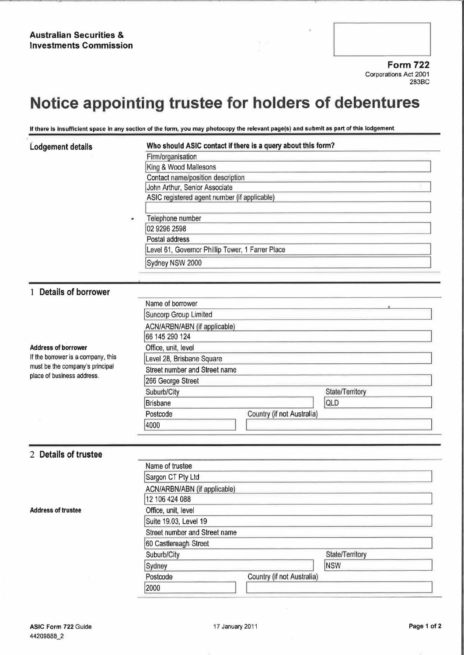Form 722 Corporations Act 2001 283BC

## Notice appointing trustee for holders of debentures

If there is insufficient space in any section of the form, you may photocopy the relevant page(s) and submit as part of this lodgement

| Lodgement details                                                                                   | Who should ASIC contact if there is a query about this form? |                 |  |
|-----------------------------------------------------------------------------------------------------|--------------------------------------------------------------|-----------------|--|
|                                                                                                     | Firm/organisation                                            |                 |  |
|                                                                                                     | King & Wood Mallesons                                        |                 |  |
|                                                                                                     | Contact name/position description                            |                 |  |
|                                                                                                     | John Arthur, Senior Associate                                |                 |  |
|                                                                                                     | ASIC registered agent number (if applicable)                 |                 |  |
|                                                                                                     |                                                              |                 |  |
|                                                                                                     | Telephone number                                             |                 |  |
|                                                                                                     | 02 9296 2598                                                 |                 |  |
|                                                                                                     | Postal address                                               |                 |  |
|                                                                                                     | Level 61, Governor Phillip Tower, 1 Farrer Place             |                 |  |
|                                                                                                     | Sydney NSW 2000                                              |                 |  |
|                                                                                                     |                                                              |                 |  |
|                                                                                                     |                                                              |                 |  |
| 1 Details of borrower                                                                               |                                                              |                 |  |
|                                                                                                     | Name of borrower                                             |                 |  |
|                                                                                                     | Suncorp Group Limited                                        |                 |  |
|                                                                                                     | ACN/ARBN/ABN (if applicable)                                 |                 |  |
|                                                                                                     | 66 145 290 124                                               |                 |  |
| <b>Address of borrower</b>                                                                          | Office, unit, level                                          |                 |  |
| If the borrower is a company, this<br>must be the company's principal<br>place of business address. | Level 28, Brisbane Square                                    |                 |  |
|                                                                                                     | Street number and Street name                                |                 |  |
|                                                                                                     | 266 George Street                                            |                 |  |
|                                                                                                     | Suburb/City                                                  | State/Territory |  |
|                                                                                                     | QLD<br>Brisbane                                              |                 |  |
|                                                                                                     | Country (if not Australia)<br>Postcode                       |                 |  |
|                                                                                                     | 4000                                                         |                 |  |
|                                                                                                     |                                                              |                 |  |
|                                                                                                     |                                                              |                 |  |
| 2 Details of trustee                                                                                |                                                              |                 |  |
|                                                                                                     | Name of trustee                                              |                 |  |
|                                                                                                     | Sargon CT Pty Ltd                                            |                 |  |
|                                                                                                     | ACN/ARBN/ABN (if applicable)                                 |                 |  |
|                                                                                                     | 12 106 424 088                                               |                 |  |
| <b>Address of trustee</b>                                                                           | Office, unit, level                                          |                 |  |

Suburb/City State/Territory

Sydney NSW Postcode Country (if not Australia)

Suite 19.03, Level 19

60 Castlereagh Street

2000

Street number and Street name